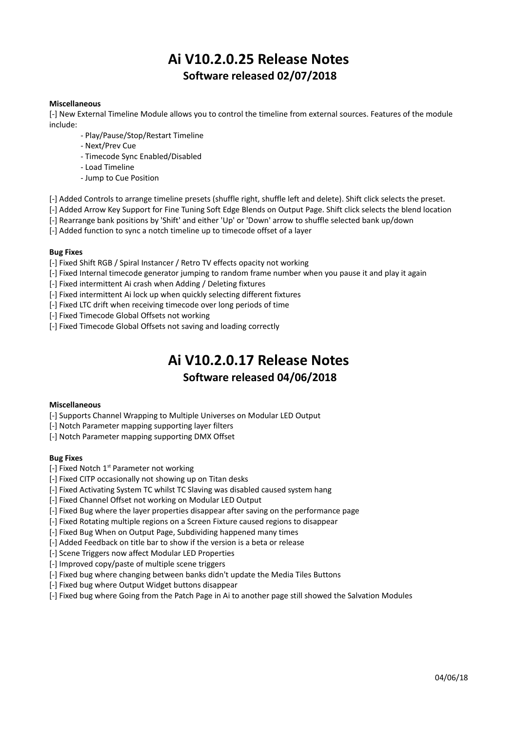# **Ai V10.2.0.25 Release Notes Software released 02/07/2018**

## **Miscellaneous**

[-] New External Timeline Module allows you to control the timeline from external sources. Features of the module include:

- Play/Pause/Stop/Restart Timeline
- Next/Prev Cue
- Timecode Sync Enabled/Disabled
- Load Timeline
- Jump to Cue Position

[-] Added Controls to arrange timeline presets (shuffle right, shuffle left and delete). Shift click selects the preset.

[-] Added Arrow Key Support for Fine Tuning Soft Edge Blends on Output Page. Shift click selects the blend location

[-] Rearrange bank positions by 'Shift' and either 'Up' or 'Down' arrow to shuffle selected bank up/down

[-] Added function to sync a notch timeline up to timecode offset of a layer

#### **Bug Fixes**

[-] Fixed Shift RGB / Spiral Instancer / Retro TV effects opacity not working

- [-] Fixed Internal timecode generator jumping to random frame number when you pause it and play it again
- [-] Fixed intermittent Ai crash when Adding / Deleting fixtures
- [-] Fixed intermittent Ai lock up when quickly selecting different fixtures
- [-] Fixed LTC drift when receiving timecode over long periods of time
- [-] Fixed Timecode Global Offsets not working
- [-] Fixed Timecode Global Offsets not saving and loading correctly

# **Ai V10.2.0.17 Release Notes**

# **Software released 04/06/2018**

#### **Miscellaneous**

[-] Supports Channel Wrapping to Multiple Universes on Modular LED Output

[-] Notch Parameter mapping supporting layer filters

[-] Notch Parameter mapping supporting DMX Offset

#### **Bug Fixes**

- $[-]$  Fixed Notch 1<sup>st</sup> Parameter not working
- [-] Fixed CITP occasionally not showing up on Titan desks
- [-] Fixed Activating System TC whilst TC Slaving was disabled caused system hang
- [-] Fixed Channel Offset not working on Modular LED Output
- [-] Fixed Bug where the layer properties disappear after saving on the performance page
- [-] Fixed Rotating multiple regions on a Screen Fixture caused regions to disappear
- [-] Fixed Bug When on Output Page, Subdividing happened many times
- [-] Added Feedback on title bar to show if the version is a beta or release
- [-] Scene Triggers now affect Modular LED Properties
- [-] Improved copy/paste of multiple scene triggers
- [-] Fixed bug where changing between banks didn't update the Media Tiles Buttons
- [-] Fixed bug where Output Widget buttons disappear
- [-] Fixed bug where Going from the Patch Page in Ai to another page still showed the Salvation Modules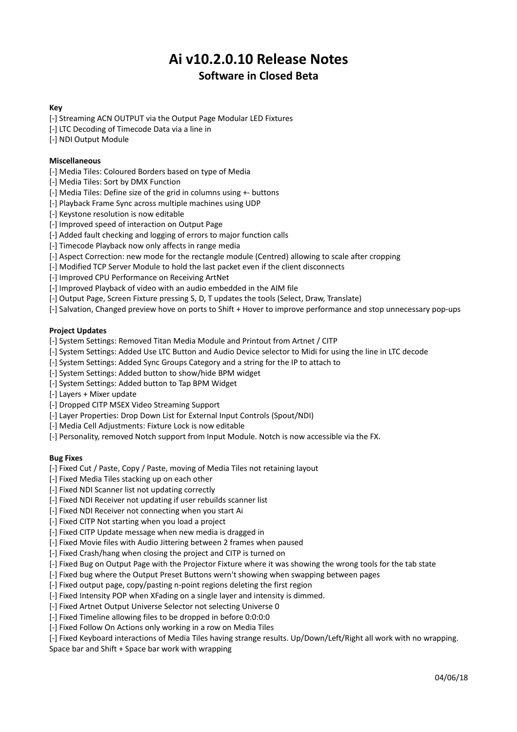# **Ai v10.2.0.10 Release Notes Software in Closed Beta**

## **Key**

- [-] Streaming ACN OUTPUT via the Output Page Modular LED Fixtures
- [-] LTC Decoding of Timecode Data via a line in
- [-] NDI Output Module

# **Miscellaneous**

- [-] Media Tiles: Coloured Borders based on type of Media
- [-] Media Tiles: Sort by DMX Function
- [-] Media Tiles: Define size of the grid in columns using +- buttons
- [-] Playback Frame Sync across multiple machines using UDP
- [-] Keystone resolution is now editable
- [-] Improved speed of interaction on Output Page
- [-] Added fault checking and logging of errors to major function calls
- [-] Timecode Playback now only affects in range media
- [-] Aspect Correction: new mode for the rectangle module (Centred) allowing to scale after cropping
- [-] Modified TCP Server Module to hold the last packet even if the client disconnects
- [-] Improved CPU Performance on Receiving ArtNet
- [-] Improved Playback of video with an audio embedded in the AIM file
- [-] Output Page, Screen Fixture pressing S, D, T updates the tools (Select, Draw, Translate)
- [-] Salvation, Changed preview hove on ports to Shift + Hover to improve performance and stop unnecessary pop-ups

# **Project Updates**

- [-] System Settings: Removed Titan Media Module and Printout from Artnet / CITP
- [-] System Settings: Added Use LTC Button and Audio Device selector to Midi for using the line in LTC decode
- [-] System Settings: Added Sync Groups Category and a string for the IP to attach to
- [-] System Settings: Added button to show/hide BPM widget
- [-] System Settings: Added button to Tap BPM Widget
- [-] Layers + Mixer update
- [-] Dropped CITP MSEX Video Streaming Support
- [-] Layer Properties: Drop Down List for External Input Controls (Spout/NDI)
- [-] Media Cell Adjustments: Fixture Lock is now editable
- [-] Personality, removed Notch support from Input Module. Notch is now accessible via the FX.

## **Bug Fixes**

- [-] Fixed Cut / Paste, Copy / Paste, moving of Media Tiles not retaining layout
- [-] Fixed Media Tiles stacking up on each other
- [-] Fixed NDI Scanner list not updating correctly
- [-] Fixed NDI Receiver not updating if user rebuilds scanner list
- [-] Fixed NDI Receiver not connecting when you start Ai
- [-] Fixed CITP Not starting when you load a project
- [-] Fixed CITP Update message when new media is dragged in
- [-] Fixed Movie files with Audio Jittering between 2 frames when paused
- [-] Fixed Crash/hang when closing the project and CITP is turned on
- [-] Fixed Bug on Output Page with the Projector Fixture where it was showing the wrong tools for the tab state
- [-] Fixed bug where the Output Preset Buttons wern't showing when swapping between pages
- [-] Fixed output page, copy/pasting n-point regions deleting the first region
- [-] Fixed Intensity POP when XFading on a single layer and intensity is dimmed.
- [-] Fixed Artnet Output Universe Selector not selecting Universe 0
- [-] Fixed Timeline allowing files to be dropped in before 0:0:0:0
- [-] Fixed Follow On Actions only working in a row on Media Tiles
- [-] Fixed Keyboard interactions of Media Tiles having strange results. Up/Down/Left/Right all work with no wrapping.

Space bar and Shift + Space bar work with wrapping